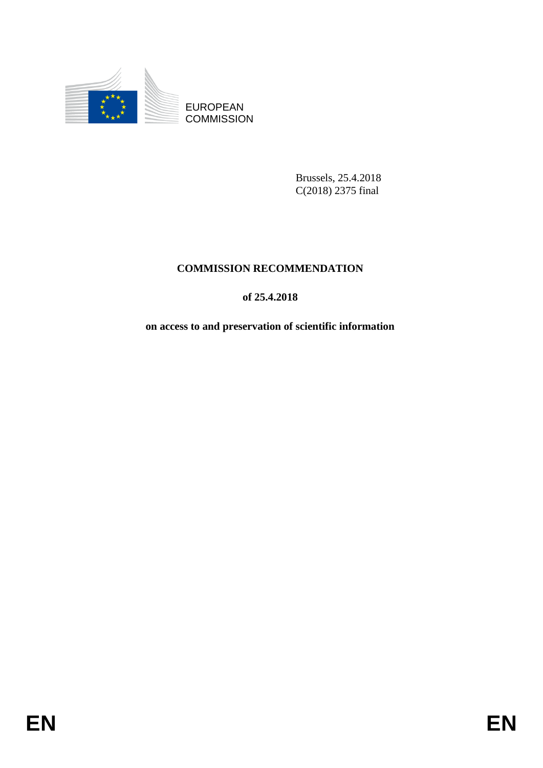

Brussels, 25.4.2018 C(2018) 2375 final

# **COMMISSION RECOMMENDATION**

## **of 25.4.2018**

**on access to and preservation of scientific information**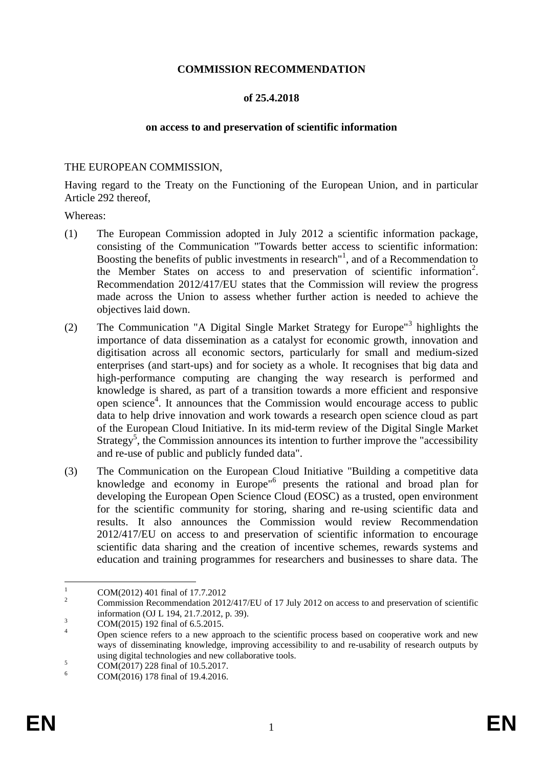#### **COMMISSION RECOMMENDATION**

#### **of 25.4.2018**

#### **on access to and preservation of scientific information**

#### THE EUROPEAN COMMISSION,

Having regard to the Treaty on the Functioning of the European Union, and in particular Article 292 thereof,

Whereas:

- (1) The European Commission adopted in July 2012 a scientific information package, consisting of the Communication "Towards better access to scientific information: Boosting the benefits of public investments in research<sup>"1</sup>, and of a Recommendation to the Member States on access to and preservation of scientific information<sup>2</sup>. Recommendation 2012/417/EU states that the Commission will review the progress made across the Union to assess whether further action is needed to achieve the objectives laid down.
- (2) The Communication "A Digital Single Market Strategy for Europe"<sup>3</sup> highlights the importance of data dissemination as a catalyst for economic growth, innovation and digitisation across all economic sectors, particularly for small and medium-sized enterprises (and start-ups) and for society as a whole. It recognises that big data and high-performance computing are changing the way research is performed and knowledge is shared, as part of a transition towards a more efficient and responsive open science<sup>4</sup>. It announces that the Commission would encourage access to public data to help drive innovation and work towards a research open science cloud as part of the European Cloud Initiative. In its mid-term review of the Digital Single Market Strategy<sup>5</sup>, the Commission announces its intention to further improve the "accessibility" and re-use of public and publicly funded data".
- (3) The Communication on the European Cloud Initiative "Building a competitive data knowledge and economy in Europe<sup>16</sup> presents the rational and broad plan for developing the European Open Science Cloud (EOSC) as a trusted, open environment for the scientific community for storing, sharing and re-using scientific data and results. It also announces the Commission would review Recommendation 2012/417/EU on access to and preservation of scientific information to encourage scientific data sharing and the creation of incentive schemes, rewards systems and education and training programmes for researchers and businesses to share data. The

 $\mathbf{1}$  $\frac{1}{2}$  COM(2012) 401 final of 17.7.2012

<sup>2</sup> Commission Recommendation 2012/417/EU of 17 July 2012 on access to and preservation of scientific information (OJ L 194, 21.7.2012, p. 39).

 $\frac{3}{4}$  COM(2015) 192 final of 6.5.2015.

Open science refers to a new approach to the scientific process based on cooperative work and new ways of disseminating knowledge, improving accessibility to and re-usability of research outputs by using digital technologies and new collaborative tools.

 $5$  COM(2017) 228 final of 10.5.2017.

<sup>6</sup> COM(2016) 178 final of 19.4.2016.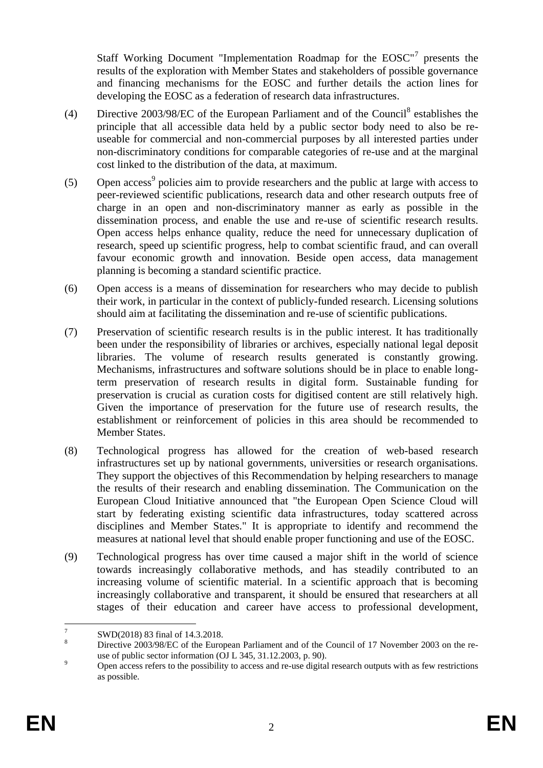Staff Working Document "Implementation Roadmap for the EOSC"<sup>7</sup> presents the results of the exploration with Member States and stakeholders of possible governance and financing mechanisms for the EOSC and further details the action lines for developing the EOSC as a federation of research data infrastructures.

- (4) Directive  $2003/98$ /EC of the European Parliament and of the Council<sup>8</sup> establishes the principle that all accessible data held by a public sector body need to also be reuseable for commercial and non-commercial purposes by all interested parties under non-discriminatory conditions for comparable categories of re-use and at the marginal cost linked to the distribution of the data, at maximum.
- (5) Open access<sup>9</sup> policies aim to provide researchers and the public at large with access to peer-reviewed scientific publications, research data and other research outputs free of charge in an open and non-discriminatory manner as early as possible in the dissemination process, and enable the use and re-use of scientific research results. Open access helps enhance quality, reduce the need for unnecessary duplication of research, speed up scientific progress, help to combat scientific fraud, and can overall favour economic growth and innovation. Beside open access, data management planning is becoming a standard scientific practice.
- (6) Open access is a means of dissemination for researchers who may decide to publish their work, in particular in the context of publicly-funded research. Licensing solutions should aim at facilitating the dissemination and re-use of scientific publications.
- (7) Preservation of scientific research results is in the public interest. It has traditionally been under the responsibility of libraries or archives, especially national legal deposit libraries. The volume of research results generated is constantly growing. Mechanisms, infrastructures and software solutions should be in place to enable longterm preservation of research results in digital form. Sustainable funding for preservation is crucial as curation costs for digitised content are still relatively high. Given the importance of preservation for the future use of research results, the establishment or reinforcement of policies in this area should be recommended to Member States.
- (8) Technological progress has allowed for the creation of web-based research infrastructures set up by national governments, universities or research organisations. They support the objectives of this Recommendation by helping researchers to manage the results of their research and enabling dissemination. The Communication on the European Cloud Initiative announced that "the European Open Science Cloud will start by federating existing scientific data infrastructures, today scattered across disciplines and Member States." It is appropriate to identify and recommend the measures at national level that should enable proper functioning and use of the EOSC.
- (9) Technological progress has over time caused a major shift in the world of science towards increasingly collaborative methods, and has steadily contributed to an increasing volume of scientific material. In a scientific approach that is becoming increasingly collaborative and transparent, it should be ensured that researchers at all stages of their education and career have access to professional development,

 $\frac{1}{7}$ SWD(2018) 83 final of 14.3.2018.

<sup>8</sup> Directive 2003/98/EC of the European Parliament and of the Council of 17 November 2003 on the reuse of public sector information (OJ L 345, 31.12.2003, p. 90).

<sup>&</sup>lt;sup>9</sup><br>Open access refers to the possibility to access and re-use digital research outputs with as few restrictions as possible.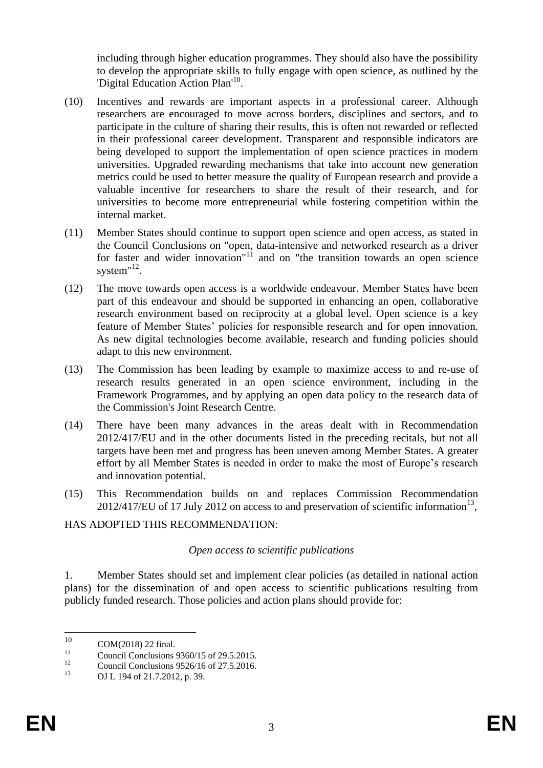including through higher education programmes. They should also have the possibility to develop the appropriate skills to fully engage with open science, as outlined by the 'Digital Education Action Plan'<sup>10</sup>.

- (10) Incentives and rewards are important aspects in a professional career. Although researchers are encouraged to move across borders, disciplines and sectors, and to participate in the culture of sharing their results, this is often not rewarded or reflected in their professional career development. Transparent and responsible indicators are being developed to support the implementation of open science practices in modern universities. Upgraded rewarding mechanisms that take into account new generation metrics could be used to better measure the quality of European research and provide a valuable incentive for researchers to share the result of their research, and for universities to become more entrepreneurial while fostering competition within the internal market.
- (11) Member States should continue to support open science and open access, as stated in the Council Conclusions on "open, data-intensive and networked research as a driver for faster and wider innovation"<sup>11</sup> and on "the transition towards an open science system" $^{12}$ .
- (12) The move towards open access is a worldwide endeavour. Member States have been part of this endeavour and should be supported in enhancing an open, collaborative research environment based on reciprocity at a global level. Open science is a key feature of Member States' policies for responsible research and for open innovation. As new digital technologies become available, research and funding policies should adapt to this new environment.
- (13) The Commission has been leading by example to maximize access to and re-use of research results generated in an open science environment, including in the Framework Programmes, and by applying an open data policy to the research data of the Commission's Joint Research Centre.
- (14) There have been many advances in the areas dealt with in Recommendation 2012/417/EU and in the other documents listed in the preceding recitals, but not all targets have been met and progress has been uneven among Member States. A greater effort by all Member States is needed in order to make the most of Europe's research and innovation potential.
- (15) This Recommendation builds on and replaces Commission Recommendation  $2012/417/EU$  of 17 July 2012 on access to and preservation of scientific information<sup>13</sup>,

### HAS ADOPTED THIS RECOMMENDATION:

#### *Open access to scientific publications*

1. Member States should set and implement clear policies (as detailed in national action plans) for the dissemination of and open access to scientific publications resulting from publicly funded research. Those policies and action plans should provide for:

<sup>10</sup>  $10$  COM(2018) 22 final.

<sup>&</sup>lt;sup>11</sup> Council Conclusions  $9360/15$  of 29.5.2015.

<sup>&</sup>lt;sup>12</sup> Council Conclusions 9526/16 of 27.5.2016.

<sup>13</sup> OJ L 194 of 21.7.2012, p. 39.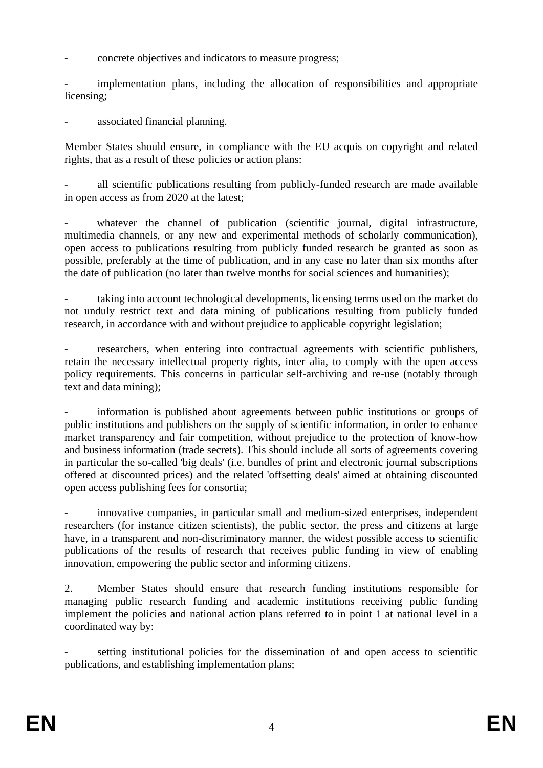- concrete objectives and indicators to measure progress;

implementation plans, including the allocation of responsibilities and appropriate licensing;

associated financial planning.

Member States should ensure, in compliance with the EU acquis on copyright and related rights, that as a result of these policies or action plans:

all scientific publications resulting from publicly-funded research are made available in open access as from 2020 at the latest;

whatever the channel of publication (scientific journal, digital infrastructure, multimedia channels, or any new and experimental methods of scholarly communication), open access to publications resulting from publicly funded research be granted as soon as possible, preferably at the time of publication, and in any case no later than six months after the date of publication (no later than twelve months for social sciences and humanities);

taking into account technological developments, licensing terms used on the market do not unduly restrict text and data mining of publications resulting from publicly funded research, in accordance with and without prejudice to applicable copyright legislation;

researchers, when entering into contractual agreements with scientific publishers, retain the necessary intellectual property rights, inter alia, to comply with the open access policy requirements. This concerns in particular self-archiving and re-use (notably through text and data mining);

information is published about agreements between public institutions or groups of public institutions and publishers on the supply of scientific information, in order to enhance market transparency and fair competition, without prejudice to the protection of know-how and business information (trade secrets). This should include all sorts of agreements covering in particular the so-called 'big deals' (i.e. bundles of print and electronic journal subscriptions offered at discounted prices) and the related 'offsetting deals' aimed at obtaining discounted open access publishing fees for consortia;

innovative companies, in particular small and medium-sized enterprises, independent researchers (for instance citizen scientists), the public sector, the press and citizens at large have, in a transparent and non-discriminatory manner, the widest possible access to scientific publications of the results of research that receives public funding in view of enabling innovation, empowering the public sector and informing citizens.

2. Member States should ensure that research funding institutions responsible for managing public research funding and academic institutions receiving public funding implement the policies and national action plans referred to in point 1 at national level in a coordinated way by:

setting institutional policies for the dissemination of and open access to scientific publications, and establishing implementation plans;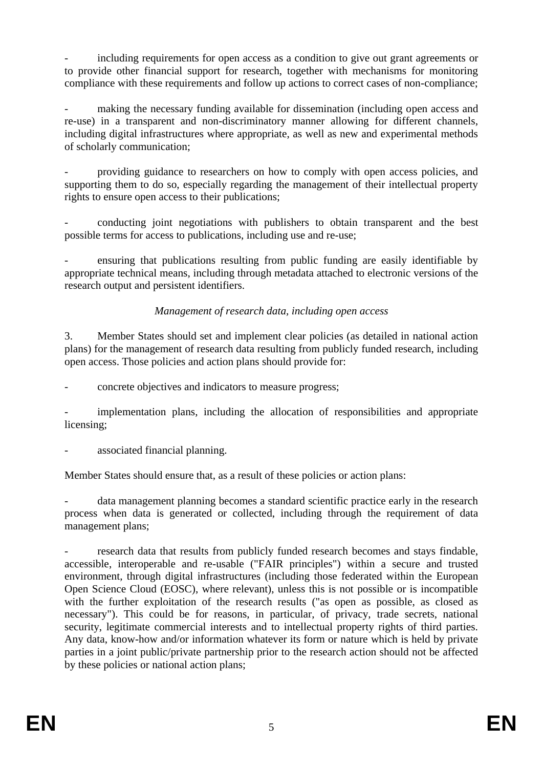including requirements for open access as a condition to give out grant agreements or to provide other financial support for research, together with mechanisms for monitoring compliance with these requirements and follow up actions to correct cases of non-compliance;

making the necessary funding available for dissemination (including open access and re-use) in a transparent and non-discriminatory manner allowing for different channels, including digital infrastructures where appropriate, as well as new and experimental methods of scholarly communication;

providing guidance to researchers on how to comply with open access policies, and supporting them to do so, especially regarding the management of their intellectual property rights to ensure open access to their publications;

- conducting joint negotiations with publishers to obtain transparent and the best possible terms for access to publications, including use and re-use;

- ensuring that publications resulting from public funding are easily identifiable by appropriate technical means, including through metadata attached to electronic versions of the research output and persistent identifiers.

### *Management of research data, including open access*

3. Member States should set and implement clear policies (as detailed in national action plans) for the management of research data resulting from publicly funded research, including open access. Those policies and action plans should provide for:

- concrete objectives and indicators to measure progress;

implementation plans, including the allocation of responsibilities and appropriate licensing;

associated financial planning.

Member States should ensure that, as a result of these policies or action plans:

- data management planning becomes a standard scientific practice early in the research process when data is generated or collected, including through the requirement of data management plans;

research data that results from publicly funded research becomes and stays findable, accessible, interoperable and re-usable ("FAIR principles") within a secure and trusted environment, through digital infrastructures (including those federated within the European Open Science Cloud (EOSC), where relevant), unless this is not possible or is incompatible with the further exploitation of the research results ("as open as possible, as closed as necessary"). This could be for reasons, in particular, of privacy, trade secrets, national security, legitimate commercial interests and to intellectual property rights of third parties. Any data, know-how and/or information whatever its form or nature which is held by private parties in a joint public/private partnership prior to the research action should not be affected by these policies or national action plans;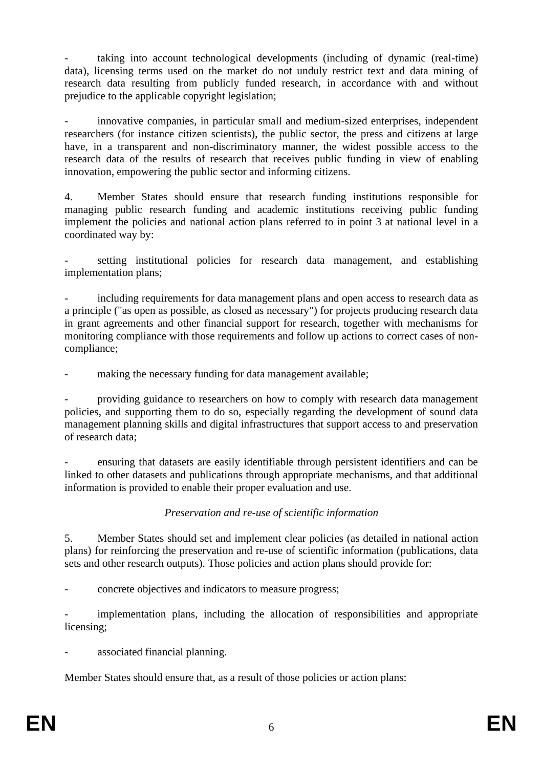taking into account technological developments (including of dynamic (real-time) data), licensing terms used on the market do not unduly restrict text and data mining of research data resulting from publicly funded research, in accordance with and without prejudice to the applicable copyright legislation;

innovative companies, in particular small and medium-sized enterprises, independent researchers (for instance citizen scientists), the public sector, the press and citizens at large have, in a transparent and non-discriminatory manner, the widest possible access to the research data of the results of research that receives public funding in view of enabling innovation, empowering the public sector and informing citizens.

4. Member States should ensure that research funding institutions responsible for managing public research funding and academic institutions receiving public funding implement the policies and national action plans referred to in point 3 at national level in a coordinated way by:

setting institutional policies for research data management, and establishing implementation plans;

including requirements for data management plans and open access to research data as a principle ("as open as possible, as closed as necessary") for projects producing research data in grant agreements and other financial support for research, together with mechanisms for monitoring compliance with those requirements and follow up actions to correct cases of noncompliance;

making the necessary funding for data management available;

- providing guidance to researchers on how to comply with research data management policies, and supporting them to do so, especially regarding the development of sound data management planning skills and digital infrastructures that support access to and preservation of research data;

- ensuring that datasets are easily identifiable through persistent identifiers and can be linked to other datasets and publications through appropriate mechanisms, and that additional information is provided to enable their proper evaluation and use.

#### *Preservation and re-use of scientific information*

5. Member States should set and implement clear policies (as detailed in national action plans) for reinforcing the preservation and re-use of scientific information (publications, data sets and other research outputs). Those policies and action plans should provide for:

- concrete objectives and indicators to measure progress;

implementation plans, including the allocation of responsibilities and appropriate licensing;

associated financial planning.

Member States should ensure that, as a result of those policies or action plans: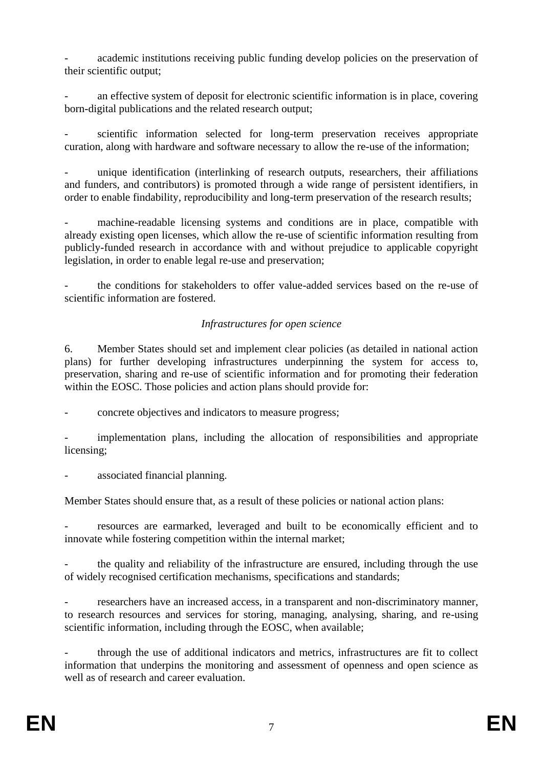academic institutions receiving public funding develop policies on the preservation of their scientific output;

an effective system of deposit for electronic scientific information is in place, covering born-digital publications and the related research output;

scientific information selected for long-term preservation receives appropriate curation, along with hardware and software necessary to allow the re-use of the information;

unique identification (interlinking of research outputs, researchers, their affiliations and funders, and contributors) is promoted through a wide range of persistent identifiers, in order to enable findability, reproducibility and long-term preservation of the research results;

machine-readable licensing systems and conditions are in place, compatible with already existing open licenses, which allow the re-use of scientific information resulting from publicly-funded research in accordance with and without prejudice to applicable copyright legislation, in order to enable legal re-use and preservation;

- the conditions for stakeholders to offer value-added services based on the re-use of scientific information are fostered.

### *Infrastructures for open science*

6. Member States should set and implement clear policies (as detailed in national action plans) for further developing infrastructures underpinning the system for access to, preservation, sharing and re-use of scientific information and for promoting their federation within the EOSC. Those policies and action plans should provide for:

- concrete objectives and indicators to measure progress;

implementation plans, including the allocation of responsibilities and appropriate licensing;

associated financial planning.

Member States should ensure that, as a result of these policies or national action plans:

resources are earmarked, leveraged and built to be economically efficient and to innovate while fostering competition within the internal market;

the quality and reliability of the infrastructure are ensured, including through the use of widely recognised certification mechanisms, specifications and standards;

researchers have an increased access, in a transparent and non-discriminatory manner, to research resources and services for storing, managing, analysing, sharing, and re-using scientific information, including through the EOSC, when available:

- through the use of additional indicators and metrics, infrastructures are fit to collect information that underpins the monitoring and assessment of openness and open science as well as of research and career evaluation.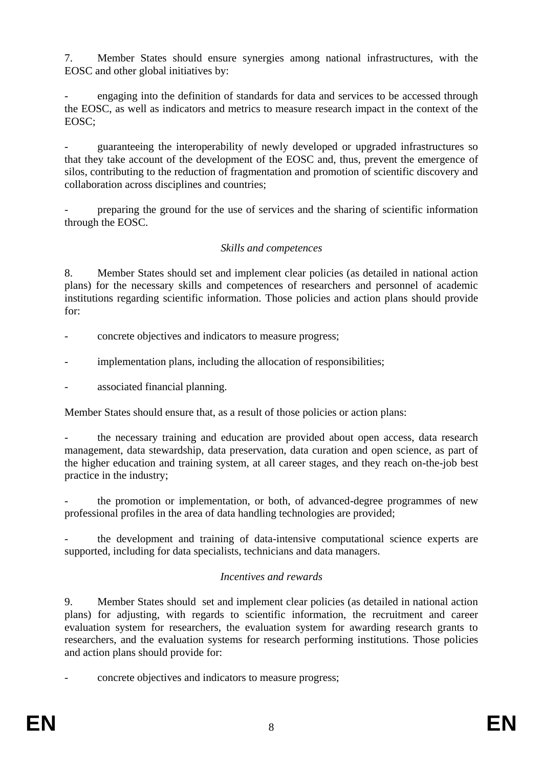7. Member States should ensure synergies among national infrastructures, with the EOSC and other global initiatives by:

engaging into the definition of standards for data and services to be accessed through the EOSC, as well as indicators and metrics to measure research impact in the context of the EOSC;

- guaranteeing the interoperability of newly developed or upgraded infrastructures so that they take account of the development of the EOSC and, thus, prevent the emergence of silos, contributing to the reduction of fragmentation and promotion of scientific discovery and collaboration across disciplines and countries;

- preparing the ground for the use of services and the sharing of scientific information through the EOSC.

### *Skills and competences*

8. Member States should set and implement clear policies (as detailed in national action plans) for the necessary skills and competences of researchers and personnel of academic institutions regarding scientific information. Those policies and action plans should provide for:

- concrete objectives and indicators to measure progress;
- implementation plans, including the allocation of responsibilities;

associated financial planning.

Member States should ensure that, as a result of those policies or action plans:

the necessary training and education are provided about open access, data research management, data stewardship, data preservation, data curation and open science, as part of the higher education and training system, at all career stages, and they reach on-the-job best practice in the industry;

the promotion or implementation, or both, of advanced-degree programmes of new professional profiles in the area of data handling technologies are provided;

the development and training of data-intensive computational science experts are supported, including for data specialists, technicians and data managers.

### *Incentives and rewards*

9. Member States should set and implement clear policies (as detailed in national action plans) for adjusting, with regards to scientific information, the recruitment and career evaluation system for researchers, the evaluation system for awarding research grants to researchers, and the evaluation systems for research performing institutions. Those policies and action plans should provide for:

- concrete objectives and indicators to measure progress;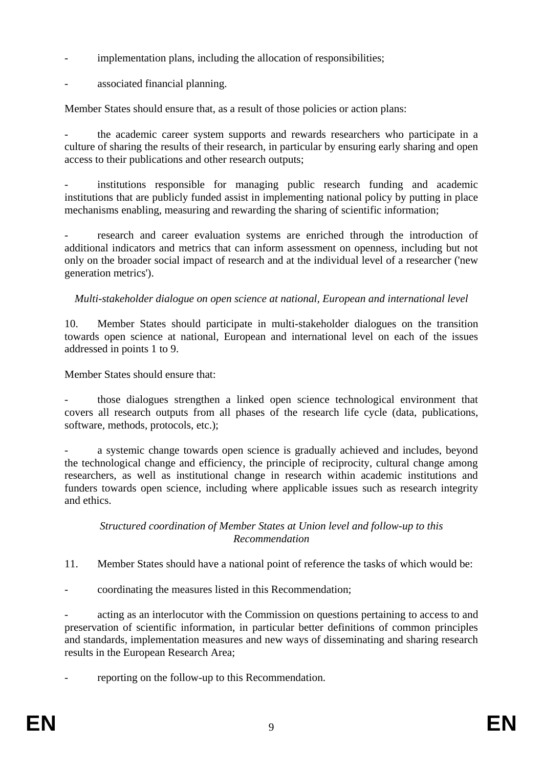- implementation plans, including the allocation of responsibilities;
- associated financial planning.

Member States should ensure that, as a result of those policies or action plans:

the academic career system supports and rewards researchers who participate in a culture of sharing the results of their research, in particular by ensuring early sharing and open access to their publications and other research outputs;

institutions responsible for managing public research funding and academic institutions that are publicly funded assist in implementing national policy by putting in place mechanisms enabling, measuring and rewarding the sharing of scientific information;

research and career evaluation systems are enriched through the introduction of additional indicators and metrics that can inform assessment on openness, including but not only on the broader social impact of research and at the individual level of a researcher ('new generation metrics').

*Multi-stakeholder dialogue on open science at national, European and international level*

10. Member States should participate in multi-stakeholder dialogues on the transition towards open science at national, European and international level on each of the issues addressed in points 1 to 9.

Member States should ensure that:

- those dialogues strengthen a linked open science technological environment that covers all research outputs from all phases of the research life cycle (data, publications, software, methods, protocols, etc.);

a systemic change towards open science is gradually achieved and includes, beyond the technological change and efficiency, the principle of reciprocity, cultural change among researchers, as well as institutional change in research within academic institutions and funders towards open science, including where applicable issues such as research integrity and ethics.

#### *Structured coordination of Member States at Union level and follow-up to this Recommendation*

11. Member States should have a national point of reference the tasks of which would be:

- coordinating the measures listed in this Recommendation;

acting as an interlocutor with the Commission on questions pertaining to access to and preservation of scientific information, in particular better definitions of common principles and standards, implementation measures and new ways of disseminating and sharing research results in the European Research Area;

reporting on the follow-up to this Recommendation.